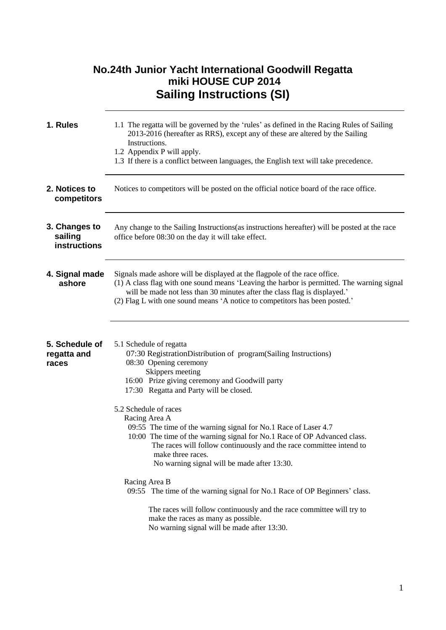|                                          | <b>No.24th Junior Yacht International Goodwill Regatta</b><br>miki HOUSE CUP 2014<br><b>Sailing Instructions (SI)</b>                                                                                                                                                                                                                                                                                                                                                                                                                                                                      |
|------------------------------------------|--------------------------------------------------------------------------------------------------------------------------------------------------------------------------------------------------------------------------------------------------------------------------------------------------------------------------------------------------------------------------------------------------------------------------------------------------------------------------------------------------------------------------------------------------------------------------------------------|
| 1. Rules                                 | 1.1 The regatta will be governed by the 'rules' as defined in the Racing Rules of Sailing<br>2013-2016 (hereafter as RRS), except any of these are altered by the Sailing<br>Instructions.<br>1.2 Appendix P will apply.<br>1.3 If there is a conflict between languages, the English text will take precedence.                                                                                                                                                                                                                                                                           |
| 2. Notices to<br>competitors             | Notices to competitors will be posted on the official notice board of the race office.                                                                                                                                                                                                                                                                                                                                                                                                                                                                                                     |
| 3. Changes to<br>sailing<br>instructions | Any change to the Sailing Instructions (as instructions hereafter) will be posted at the race<br>office before 08:30 on the day it will take effect.                                                                                                                                                                                                                                                                                                                                                                                                                                       |
| 4. Signal made<br>ashore                 | Signals made ashore will be displayed at the flagpole of the race office.<br>(1) A class flag with one sound means 'Leaving the harbor is permitted. The warning signal<br>will be made not less than 30 minutes after the class flag is displayed.'<br>(2) Flag L with one sound means 'A notice to competitors has been posted.'                                                                                                                                                                                                                                                         |
| 5. Schedule of<br>regatta and<br>races   | 5.1 Schedule of regatta<br>07:30 RegistrationDistribution of program(Sailing Instructions)<br>08:30 Opening ceremony<br>Skippers meeting<br>16:00 Prize giving ceremony and Goodwill party<br>17:30 Regatta and Party will be closed.<br>5.2 Schedule of races<br>Racing Area A<br>09:55 The time of the warning signal for No.1 Race of Laser 4.7<br>10:00 The time of the warning signal for No.1 Race of OP Advanced class.<br>The races will follow continuously and the race committee intend to<br>make three races.<br>No warning signal will be made after 13:30.<br>Racing Area B |
|                                          | 09:55 The time of the warning signal for No.1 Race of OP Beginners' class.<br>The races will follow continuously and the race committee will try to<br>make the races as many as possible.<br>No warning signal will be made after 13:30.                                                                                                                                                                                                                                                                                                                                                  |

1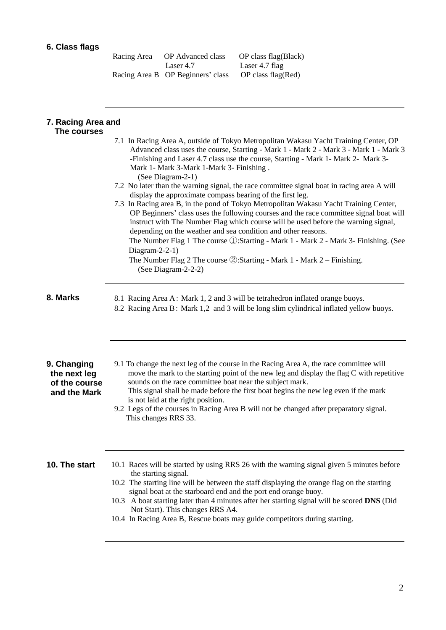## **6. Class flags**

| Racing Area | OP Advanced class                 | OP class flag(Black) |
|-------------|-----------------------------------|----------------------|
|             | Laser 4.7                         | Laser 4.7 flag       |
|             | Racing Area B OP Beginners' class | OP class flag(Red)   |

| 7. Racing Area and<br>The courses                            |                                                                                                                                                                                                                                                                                                                                                                                                                                                                                                                                                                                                                                                                                                                           |
|--------------------------------------------------------------|---------------------------------------------------------------------------------------------------------------------------------------------------------------------------------------------------------------------------------------------------------------------------------------------------------------------------------------------------------------------------------------------------------------------------------------------------------------------------------------------------------------------------------------------------------------------------------------------------------------------------------------------------------------------------------------------------------------------------|
|                                                              | 7.1 In Racing Area A, outside of Tokyo Metropolitan Wakasu Yacht Training Center, OP<br>Advanced class uses the course, Starting - Mark 1 - Mark 2 - Mark 3 - Mark 1 - Mark 3<br>-Finishing and Laser 4.7 class use the course, Starting - Mark 1- Mark 2- Mark 3-<br>Mark 1- Mark 3-Mark 1-Mark 3- Finishing.<br>(See Diagram-2-1)                                                                                                                                                                                                                                                                                                                                                                                       |
|                                                              | 7.2 No later than the warning signal, the race committee signal boat in racing area A will<br>display the approximate compass bearing of the first leg.<br>7.3 In Racing area B, in the pond of Tokyo Metropolitan Wakasu Yacht Training Center,<br>OP Beginners' class uses the following courses and the race committee signal boat will<br>instruct with The Number Flag which course will be used before the warning signal,<br>depending on the weather and sea condition and other reasons.<br>The Number Flag 1 The course ①:Starting - Mark 1 - Mark 2 - Mark 3- Finishing. (See<br>Diagram-2-2-1)<br>The Number Flag 2 The course $\circled{2}$ : Starting - Mark 1 - Mark 2 - Finishing.<br>(See Diagram-2-2-2) |
| 8. Marks                                                     | 8.1 Racing Area A: Mark 1, 2 and 3 will be tetrahedron inflated orange buoys.<br>8.2 Racing Area B: Mark 1,2 and 3 will be long slim cylindrical inflated yellow buoys.                                                                                                                                                                                                                                                                                                                                                                                                                                                                                                                                                   |
| 9. Changing<br>the next leg<br>of the course<br>and the Mark | 9.1 To change the next leg of the course in the Racing Area A, the race committee will<br>move the mark to the starting point of the new leg and display the flag C with repetitive<br>sounds on the race committee boat near the subject mark.<br>This signal shall be made before the first boat begins the new leg even if the mark<br>is not laid at the right position.<br>9.2 Legs of the courses in Racing Area B will not be changed after preparatory signal.<br>This changes RRS 33.                                                                                                                                                                                                                            |
| 10. The start                                                | 10.1 Races will be started by using RRS 26 with the warning signal given 5 minutes before<br>the starting signal.<br>10.2 The starting line will be between the staff displaying the orange flag on the starting<br>signal boat at the starboard end and the port end orange buoy.<br>10.3 A boat starting later than 4 minutes after her starting signal will be scored DNS (Did<br>Not Start). This changes RRS A4.<br>10.4 In Racing Area B, Rescue boats may guide competitors during starting.                                                                                                                                                                                                                       |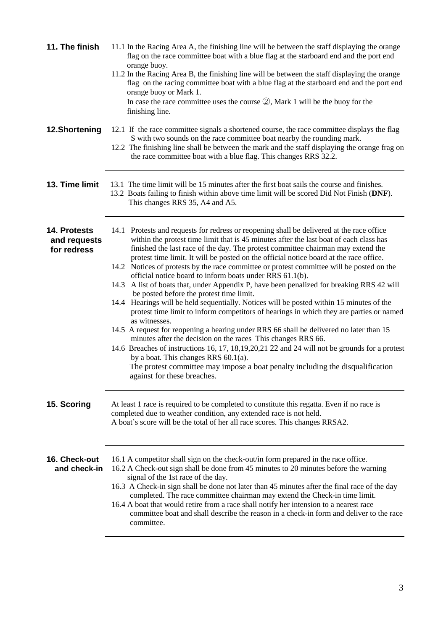| 11. The finish                              | 11.1 In the Racing Area A, the finishing line will be between the staff displaying the orange<br>flag on the race committee boat with a blue flag at the starboard end and the port end<br>orange buoy.<br>11.2 In the Racing Area B, the finishing line will be between the staff displaying the orange<br>flag on the racing committee boat with a blue flag at the starboard end and the port end<br>orange buoy or Mark 1.<br>In case the race committee uses the course $(2)$ , Mark 1 will be the buoy for the<br>finishing line.                                                                                                                                                                                                                                                                                                                                                                                                                                                                                                                                                                                                                                                                                                                                                                |
|---------------------------------------------|--------------------------------------------------------------------------------------------------------------------------------------------------------------------------------------------------------------------------------------------------------------------------------------------------------------------------------------------------------------------------------------------------------------------------------------------------------------------------------------------------------------------------------------------------------------------------------------------------------------------------------------------------------------------------------------------------------------------------------------------------------------------------------------------------------------------------------------------------------------------------------------------------------------------------------------------------------------------------------------------------------------------------------------------------------------------------------------------------------------------------------------------------------------------------------------------------------------------------------------------------------------------------------------------------------|
| 12.Shortening                               | 12.1 If the race committee signals a shortened course, the race committee displays the flag<br>S with two sounds on the race committee boat nearby the rounding mark.<br>12.2 The finishing line shall be between the mark and the staff displaying the orange frag on<br>the race committee boat with a blue flag. This changes RRS 32.2.                                                                                                                                                                                                                                                                                                                                                                                                                                                                                                                                                                                                                                                                                                                                                                                                                                                                                                                                                             |
| 13. Time limit                              | 13.1 The time limit will be 15 minutes after the first boat sails the course and finishes.<br>13.2 Boats failing to finish within above time limit will be scored Did Not Finish (DNF).<br>This changes RRS 35, A4 and A5.                                                                                                                                                                                                                                                                                                                                                                                                                                                                                                                                                                                                                                                                                                                                                                                                                                                                                                                                                                                                                                                                             |
| 14. Protests<br>and requests<br>for redress | 14.1 Protests and requests for redress or reopening shall be delivered at the race office<br>within the protest time limit that is 45 minutes after the last boat of each class has<br>finished the last race of the day. The protest committee chairman may extend the<br>protest time limit. It will be posted on the official notice board at the race office.<br>14.2 Notices of protests by the race committee or protest committee will be posted on the<br>official notice board to inform boats under RRS 61.1(b).<br>14.3 A list of boats that, under Appendix P, have been penalized for breaking RRS 42 will<br>be posted before the protest time limit.<br>14.4 Hearings will be held sequentially. Notices will be posted within 15 minutes of the<br>protest time limit to inform competitors of hearings in which they are parties or named<br>as witnesses.<br>14.5 A request for reopening a hearing under RRS 66 shall be delivered no later than 15<br>minutes after the decision on the races This changes RRS 66.<br>14.6 Breaches of instructions 16, 17, 18, 19, 20, 21 22 and 24 will not be grounds for a protest<br>by a boat. This changes RRS $60.1(a)$ .<br>The protest committee may impose a boat penalty including the disqualification<br>against for these breaches. |
| 15. Scoring                                 | At least 1 race is required to be completed to constitute this regatta. Even if no race is<br>completed due to weather condition, any extended race is not held.<br>A boat's score will be the total of her all race scores. This changes RRSA2.                                                                                                                                                                                                                                                                                                                                                                                                                                                                                                                                                                                                                                                                                                                                                                                                                                                                                                                                                                                                                                                       |
| 16. Check-out<br>and check-in               | 16.1 A competitor shall sign on the check-out/in form prepared in the race office.<br>16.2 A Check-out sign shall be done from 45 minutes to 20 minutes before the warning<br>signal of the 1st race of the day.<br>16.3 A Check-in sign shall be done not later than 45 minutes after the final race of the day<br>completed. The race committee chairman may extend the Check-in time limit.<br>16.4 A boat that would retire from a race shall notify her intension to a nearest race<br>committee boat and shall describe the reason in a check-in form and deliver to the race<br>committee.                                                                                                                                                                                                                                                                                                                                                                                                                                                                                                                                                                                                                                                                                                      |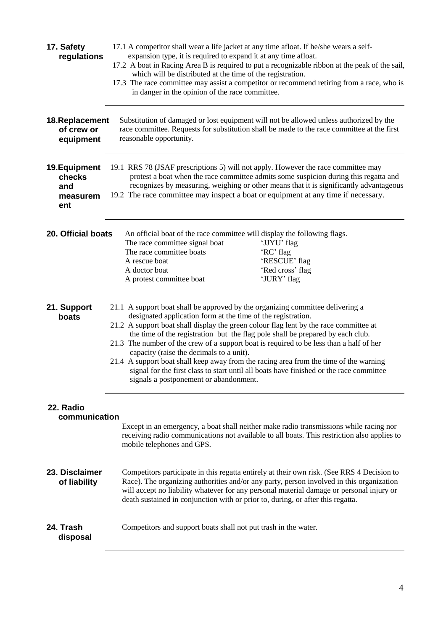| 17. Safety<br>regulations                         | 17.1 A competitor shall wear a life jacket at any time afloat. If he/she wears a self-<br>expansion type, it is required to expand it at any time afloat.<br>17.2 A boat in Racing Area B is required to put a recognizable ribbon at the peak of the sail,<br>which will be distributed at the time of the registration.<br>17.3 The race committee may assist a competitor or recommend retiring from a race, who is<br>in danger in the opinion of the race committee.                                                                                                                                                                                                                      |  |  |
|---------------------------------------------------|------------------------------------------------------------------------------------------------------------------------------------------------------------------------------------------------------------------------------------------------------------------------------------------------------------------------------------------------------------------------------------------------------------------------------------------------------------------------------------------------------------------------------------------------------------------------------------------------------------------------------------------------------------------------------------------------|--|--|
| 18. Replacement<br>of crew or<br>equipment        | Substitution of damaged or lost equipment will not be allowed unless authorized by the<br>race committee. Requests for substitution shall be made to the race committee at the first<br>reasonable opportunity.                                                                                                                                                                                                                                                                                                                                                                                                                                                                                |  |  |
| 19. Equipment<br>checks<br>and<br>measurem<br>ent | 19.1 RRS 78 (JSAF prescriptions 5) will not apply. However the race committee may<br>protest a boat when the race committee admits some suspicion during this regatta and<br>recognizes by measuring, weighing or other means that it is significantly advantageous<br>19.2 The race committee may inspect a boat or equipment at any time if necessary.                                                                                                                                                                                                                                                                                                                                       |  |  |
| 20. Official boats                                | An official boat of the race committee will display the following flags.<br>The race committee signal boat<br>'JJYU' flag<br>'RC' flag<br>The race committee boats<br>'RESCUE' flag<br>A rescue boat<br>'Red cross' flag<br>A doctor boat<br>'JURY' flag<br>A protest committee boat                                                                                                                                                                                                                                                                                                                                                                                                           |  |  |
| 21. Support<br>boats                              | 21.1 A support boat shall be approved by the organizing committee delivering a<br>designated application form at the time of the registration.<br>21.2 A support boat shall display the green colour flag lent by the race committee at<br>the time of the registration but the flag pole shall be prepared by each club.<br>21.3 The number of the crew of a support boat is required to be less than a half of her<br>capacity (raise the decimals to a unit).<br>21.4 A support boat shall keep away from the racing area from the time of the warning<br>signal for the first class to start until all boats have finished or the race committee<br>signals a postponement or abandonment. |  |  |
| 22. Radio<br>communication                        | Except in an emergency, a boat shall neither make radio transmissions while racing nor<br>receiving radio communications not available to all boats. This restriction also applies to<br>mobile telephones and GPS.                                                                                                                                                                                                                                                                                                                                                                                                                                                                            |  |  |
| 23. Disclaimer<br>of liability                    | Competitors participate in this regatta entirely at their own risk. (See RRS 4 Decision to<br>Race). The organizing authorities and/or any party, person involved in this organization<br>will accept no liability whatever for any personal material damage or personal injury or<br>death sustained in conjunction with or prior to, during, or after this regatta.                                                                                                                                                                                                                                                                                                                          |  |  |
| 24. Trash<br>disposal                             | Competitors and support boats shall not put trash in the water.                                                                                                                                                                                                                                                                                                                                                                                                                                                                                                                                                                                                                                |  |  |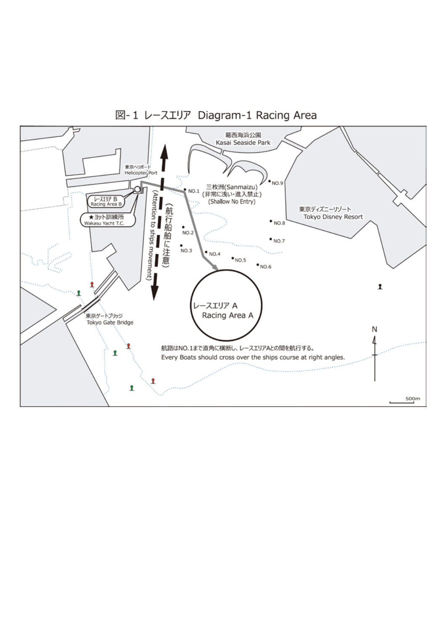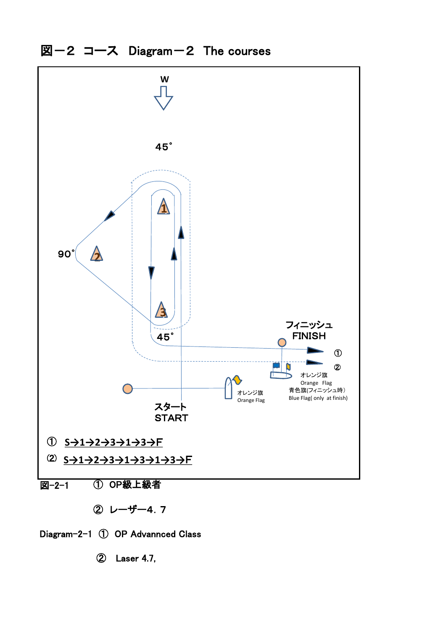



② Laser 4.7,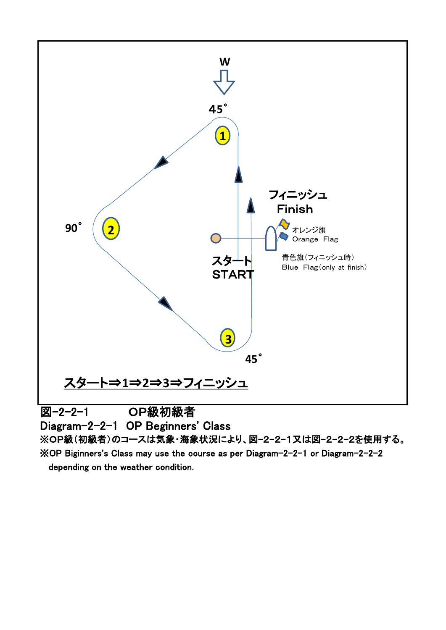

※OP Biginners's Class may use the course as per Diagram-2-2-1 or Diagram-2-2-2 depending on the weather condition.